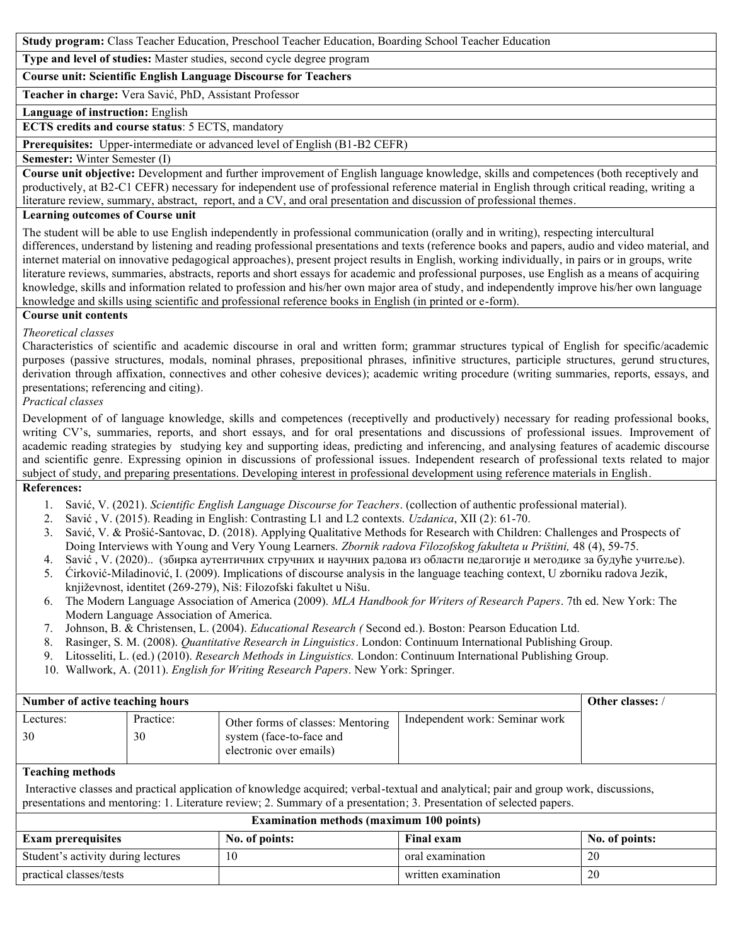**Study program:** Class Teacher Education, Preschool Teacher Education, Boarding School Teacher Education

**Type and level of studies:** Master studies, second cycle degree program

**Course unit: Scientific English Language Discourse for Teachers**

**Teacher in charge:** Vera Savić, PhD, Assistant Professor

**Language of instruction:** English

**ECTS credits and course status**: 5 ECTS, mandatory

**Prerequisites:** Upper-intermediate or advanced level of English (B1-B2 CEFR)

#### **Semester:** Winter Semester (I)

**Course unit objective:** Development and further improvement of English language knowledge, skills and competences (both receptively and productively, at B2-C1 CEFR) necessary for independent use of professional reference material in English through critical reading, writing a literature review, summary, abstract, report, and a CV, and oral presentation and discussion of professional themes.

### **Learning outcomes of Course unit**

The student will be able to use English independently in professional communication (orally and in writing), respecting intercultural differences, understand by listening and reading professional presentations and texts (reference books and papers, audio and video material, and internet material on innovative pedagogical approaches), present project results in English, working individually, in pairs or in groups, write literature reviews, summaries, abstracts, reports and short essays for academic and professional purposes, use English as a means of acquiring knowledge, skills and information related to profession and his/her own major area of study, and independently improve his/her own language knowledge and skills using scientific and professional reference books in English (in printed or e-form).

# **Course unit contents**

### *Theoretical classes*

Characteristics of scientific and academic discourse in oral and written form; grammar structures typical of English for specific/academic purposes (passive structures, modals, nominal phrases, prepositional phrases, infinitive structures, participle structures, gerund structures, derivation through affixation, connectives and other cohesive devices); academic writing procedure (writing summaries, reports, essays, and presentations; referencing and citing).

*Practical classes*

Development of of language knowledge, skills and competences (receptivelly and productively) necessary for reading professional books, writing CV's, summaries, reports, and short essays, and for oral presentations and discussions of professional issues. Improvement of academic reading strategies by studying key and supporting ideas, predicting and inferencing, and analysing features of academic discourse and scientific genre. Expressing opinion in discussions of professional issues. Independent research of professional texts related to major subject of study, and preparing presentations. Developing interest in professional development using reference materials in English.

## **References:**

- 1. Savić, V. (2021). *Scientific English Language Discourse for Teachers*. (collection of authentic professional material).
- 2. Savić , V. (2015). Reading in English: Contrasting L1 and L2 contexts. *Uzdanica*, XII (2): 61-70.
- 3. Savić, V. & Prošić-Santovac, D. (2018). Applying Qualitative Methods for Research with Children: Challenges and Prospects of Doing Interviews with Young and Very Young Learners. *Zbornik radova Filozofskog fakulteta u Prištini,* 48 (4), 59-75.
- 4. Savić , V. (2020).. (збирка аутентичних стручних и научних радова из области педагогије и методике за будуће учитеље).
- 5. Ćirković-Miladinović, I. (2009). Implications of discourse analysis in the language teaching context, U zborniku radova Jezik, književnost, identitet (269-279), Niš: Filozofski fakultet u Nišu.
- 6. The Modern Language Association of America (2009). *MLA Handbook for Writers of Research Papers*. 7th ed. New York: The Modern Language Association of America.
- 7. Johnson, B. & Christensen, L. (2004). *Educational Research (* Second ed.). Boston: Pearson Education Ltd.
- 8. Rasinger, S. M. (2008). *Quantitative Research in Linguistics*. London: Continuum International Publishing Group.
- 9. Litosseliti, L. (ed.) (2010). *Research Methods in Linguistics.* London: Continuum International Publishing Group.
- 10. Wallwork, A. (2011). *English for Writing Research Papers*. New York: Springer.

| Number of active teaching hours | Other classes: / |                                                                                          |                                |  |
|---------------------------------|------------------|------------------------------------------------------------------------------------------|--------------------------------|--|
| Lectures:<br>30                 | Practice:<br>30  | Other forms of classes: Mentoring<br>system (face-to-face and<br>electronic over emails) | Independent work: Seminar work |  |

### **Teaching methods**

Interactive classes and practical application of knowledge acquired; verbal-textual and analytical; pair and group work, discussions, presentations and mentoring: 1. Literature review; 2. Summary of a presentation; 3. Presentation of selected papers.

| <b>Examination methods (maximum 100 points)</b> |                |                     |                |  |  |
|-------------------------------------------------|----------------|---------------------|----------------|--|--|
| <b>Exam prerequisites</b>                       | No. of points: | <b>Final exam</b>   | No. of points: |  |  |
| Student's activity during lectures              |                | oral examination    | 20             |  |  |
| practical classes/tests                         |                | written examination | 20             |  |  |